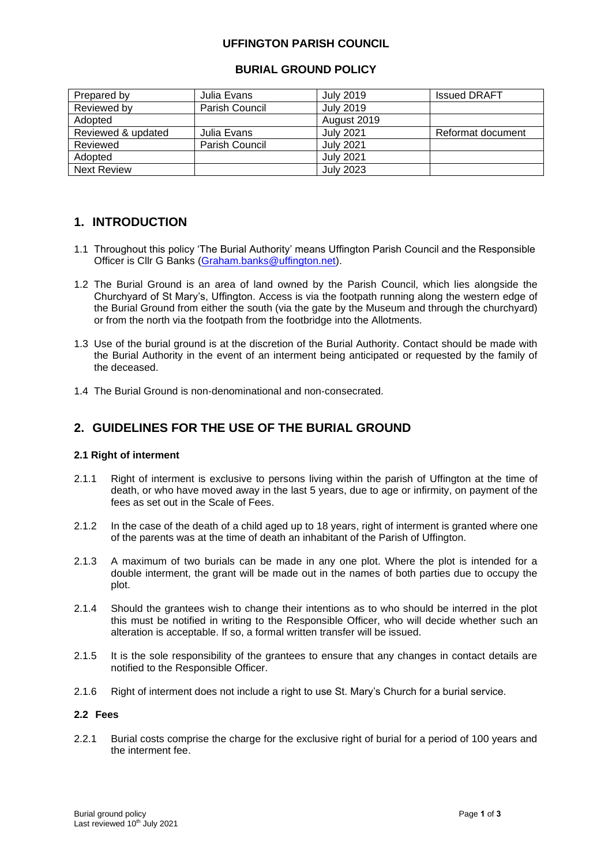### **UFFINGTON PARISH COUNCIL**

### **BURIAL GROUND POLICY**

| Prepared by        | Julia Evans    | <b>July 2019</b> | <b>Issued DRAFT</b> |
|--------------------|----------------|------------------|---------------------|
| Reviewed by        | Parish Council | <b>July 2019</b> |                     |
| Adopted            |                | August 2019      |                     |
| Reviewed & updated | Julia Evans    | <b>July 2021</b> | Reformat document   |
| Reviewed           | Parish Council | <b>July 2021</b> |                     |
| Adopted            |                | <b>July 2021</b> |                     |
| <b>Next Review</b> |                | <b>July 2023</b> |                     |

# **1. INTRODUCTION**

- 1.1 Throughout this policy 'The Burial Authority' means Uffington Parish Council and the Responsible Officer is Cllr G Banks [\(Graham.banks@uffington.net\)](mailto:Graham.banks@uffington.net).
- 1.2 The Burial Ground is an area of land owned by the Parish Council, which lies alongside the Churchyard of St Mary's, Uffington. Access is via the footpath running along the western edge of the Burial Ground from either the south (via the gate by the Museum and through the churchyard) or from the north via the footpath from the footbridge into the Allotments.
- 1.3 Use of the burial ground is at the discretion of the Burial Authority. Contact should be made with the Burial Authority in the event of an interment being anticipated or requested by the family of the deceased.
- 1.4 The Burial Ground is non‐denominational and non‐consecrated.

# **2. GUIDELINES FOR THE USE OF THE BURIAL GROUND**

### **2.1 Right of interment**

- 2.1.1 Right of interment is exclusive to persons living within the parish of Uffington at the time of death, or who have moved away in the last 5 years, due to age or infirmity, on payment of the fees as set out in the Scale of Fees.
- 2.1.2 In the case of the death of a child aged up to 18 years, right of interment is granted where one of the parents was at the time of death an inhabitant of the Parish of Uffington.
- 2.1.3 A maximum of two burials can be made in any one plot. Where the plot is intended for a double interment, the grant will be made out in the names of both parties due to occupy the plot.
- 2.1.4 Should the grantees wish to change their intentions as to who should be interred in the plot this must be notified in writing to the Responsible Officer, who will decide whether such an alteration is acceptable. If so, a formal written transfer will be issued.
- 2.1.5 It is the sole responsibility of the grantees to ensure that any changes in contact details are notified to the Responsible Officer.
- 2.1.6 Right of interment does not include a right to use St. Mary's Church for a burial service.

#### **2.2 Fees**

2.2.1 Burial costs comprise the charge for the exclusive right of burial for a period of 100 years and the interment fee.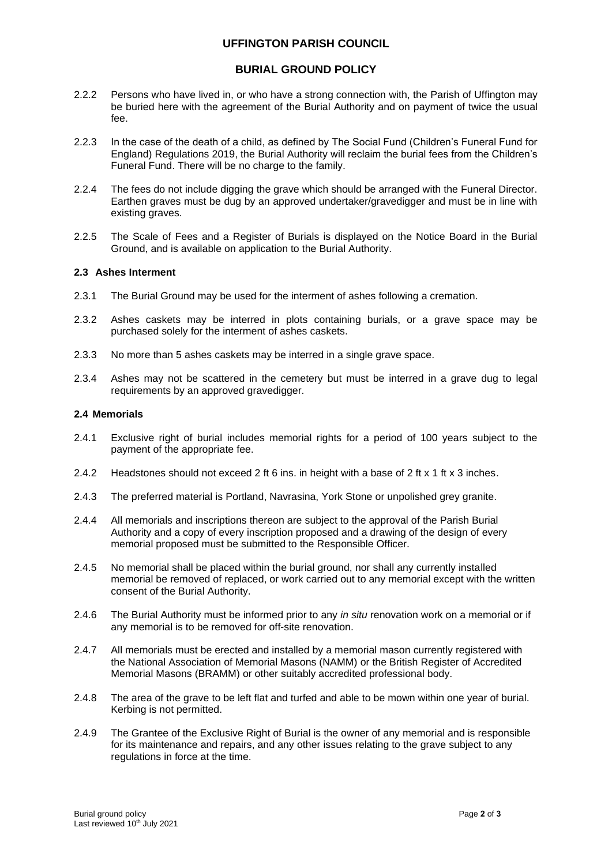### **UFFINGTON PARISH COUNCIL**

### **BURIAL GROUND POLICY**

- 2.2.2 Persons who have lived in, or who have a strong connection with, the Parish of Uffington may be buried here with the agreement of the Burial Authority and on payment of twice the usual fee.
- 2.2.3 In the case of the death of a child, as defined by The Social Fund (Children's Funeral Fund for England) Regulations 2019, the Burial Authority will reclaim the burial fees from the Children's Funeral Fund. There will be no charge to the family.
- 2.2.4 The fees do not include digging the grave which should be arranged with the Funeral Director. Earthen graves must be dug by an approved undertaker/gravedigger and must be in line with existing graves.
- 2.2.5 The Scale of Fees and a Register of Burials is displayed on the Notice Board in the Burial Ground, and is available on application to the Burial Authority.

#### **2.3 Ashes Interment**

- 2.3.1 The Burial Ground may be used for the interment of ashes following a cremation.
- 2.3.2 Ashes caskets may be interred in plots containing burials, or a grave space may be purchased solely for the interment of ashes caskets.
- 2.3.3 No more than 5 ashes caskets may be interred in a single grave space.
- 2.3.4 Ashes may not be scattered in the cemetery but must be interred in a grave dug to legal requirements by an approved gravedigger.

#### **2.4 Memorials**

- 2.4.1 Exclusive right of burial includes memorial rights for a period of 100 years subject to the payment of the appropriate fee.
- 2.4.2 Headstones should not exceed 2 ft 6 ins. in height with a base of 2 ft x 1 ft x 3 inches.
- 2.4.3 The preferred material is Portland, Navrasina, York Stone or unpolished grey granite.
- 2.4.4 All memorials and inscriptions thereon are subject to the approval of the Parish Burial Authority and a copy of every inscription proposed and a drawing of the design of every memorial proposed must be submitted to the Responsible Officer.
- 2.4.5 No memorial shall be placed within the burial ground, nor shall any currently installed memorial be removed of replaced, or work carried out to any memorial except with the written consent of the Burial Authority.
- 2.4.6 The Burial Authority must be informed prior to any *in situ* renovation work on a memorial or if any memorial is to be removed for off-site renovation.
- 2.4.7 All memorials must be erected and installed by a memorial mason currently registered with the National Association of Memorial Masons (NAMM) or the British Register of Accredited Memorial Masons (BRAMM) or other suitably accredited professional body.
- 2.4.8 The area of the grave to be left flat and turfed and able to be mown within one year of burial. Kerbing is not permitted.
- 2.4.9 The Grantee of the Exclusive Right of Burial is the owner of any memorial and is responsible for its maintenance and repairs, and any other issues relating to the grave subject to any regulations in force at the time.